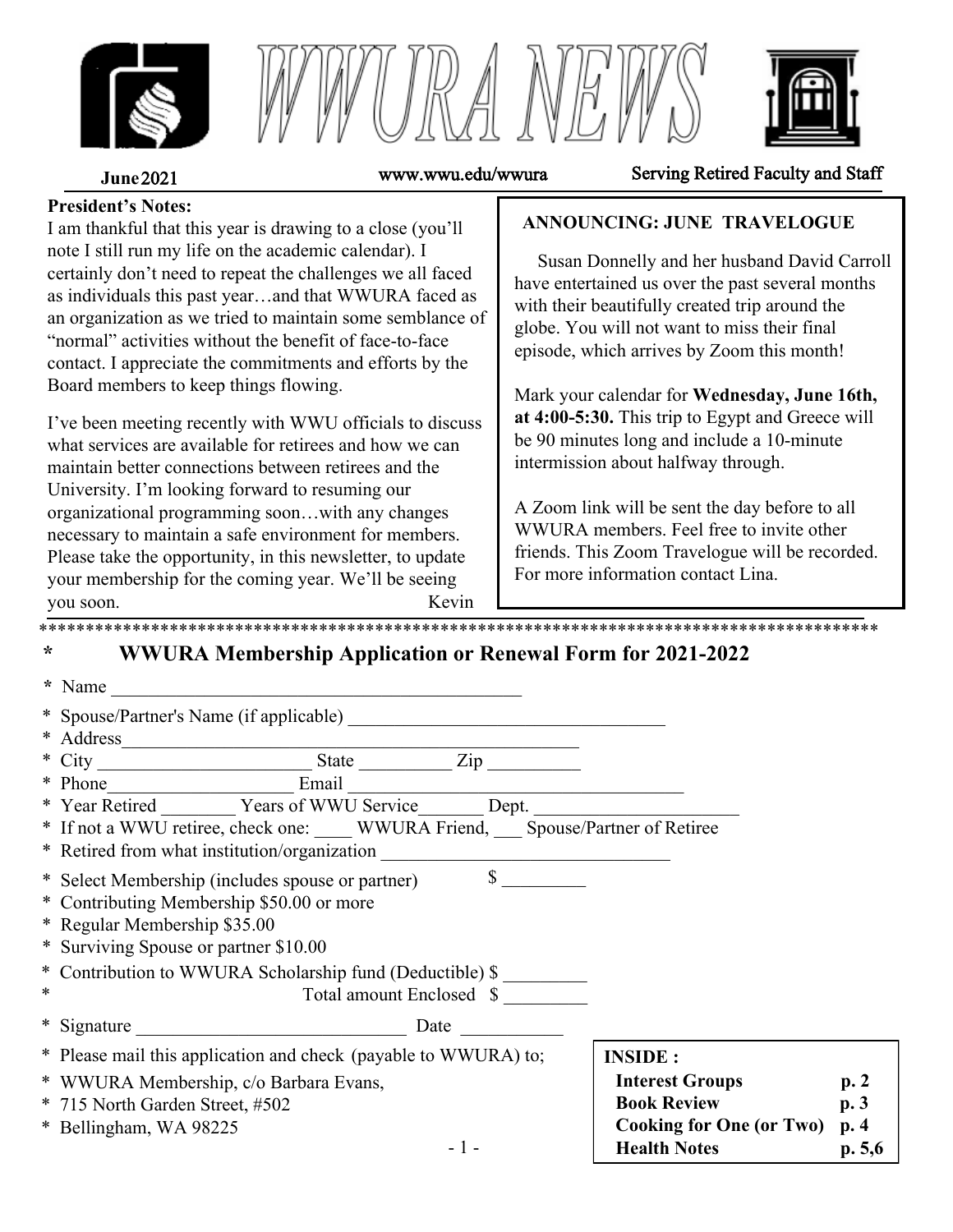





**June** 2021 www.wwu.edu/wwura Serving Retired Faculty and Staff

#### **President's Notes:**

I am thankful that this year is drawing to a close (you'll note I still run my life on the academic calendar). I certainly don't need to repeat the challenges we all faced as individuals this past year…and that WWURA faced as an organization as we tried to maintain some semblance of "normal" activities without the benefit of face-to-face contact. I appreciate the commitments and efforts by the Board members to keep things flowing.

I've been meeting recently with WWU officials to discuss what services are available for retirees and how we can maintain better connections between retirees and the University. I'm looking forward to resuming our organizational programming soon…with any changes necessary to maintain a safe environment for members. Please take the opportunity, in this newsletter, to update your membership for the coming year. We'll be seeing you soon. Kevin \*\*\*\*\*\*\*\*\*\*\*\*\*\*\*\*\*\*\*\*\*\*\*\*\*\*\*\*\*\*\*\*\*\*\*\*\*\*\*\*\*\*\*\*\*\*\*\*\*\*\*\*\*\*\*\*\*\*\*\*\*\*\*\*\*\*\*\*\*\*\*\*\*\*\*\*\*\*\*\*\*\*\*\*\*\*\*\*\*\*

### **ANNOUNCING: JUNE TRAVELOGUE**

 Susan Donnelly and her husband David Carroll have entertained us over the past several months with their beautifully created trip around the globe. You will not want to miss their final episode, which arrives by Zoom this month!

Mark your calendar for **Wednesday, June 16th, at 4:00-5:30.** This trip to Egypt and Greece will be 90 minutes long and include a 10-minute intermission about halfway through.

A Zoom link will be sent the day before to all WWURA members. Feel free to invite other friends. This Zoom Travelogue will be recorded. For more information contact Lina.

# **\* WWURA Membership Application or Renewal Form for 2021-2022**

|   | * Name<br><u> 1980 - Jan Barbara, manazarta bashkar a shekara t</u>                   |                                 |         |
|---|---------------------------------------------------------------------------------------|---------------------------------|---------|
|   | * Spouse/Partner's Name (if applicable)                                               |                                 |         |
|   | * Address<br><u> 1989 - Johann John Stein, mars an deus Amerikaansk kommunister (</u> |                                 |         |
|   |                                                                                       |                                 |         |
|   |                                                                                       |                                 |         |
|   | * Year Retired Years of WWU Service Dept.                                             |                                 |         |
|   | * If not a WWU retiree, check one: WWURA Friend, Spouse/Partner of Retiree            |                                 |         |
|   | * Retired from what institution/organization                                          |                                 |         |
|   | $\mathbb{S}$<br>* Select Membership (includes spouse or partner)                      |                                 |         |
|   | * Contributing Membership \$50.00 or more                                             |                                 |         |
|   | * Regular Membership \$35.00                                                          |                                 |         |
|   | * Surviving Spouse or partner \$10.00                                                 |                                 |         |
|   | * Contribution to WWURA Scholarship fund (Deductible) \$                              |                                 |         |
| ∗ | Total amount Enclosed \$                                                              |                                 |         |
|   | * Signature<br>Date                                                                   |                                 |         |
|   | * Please mail this application and check (payable to WWURA) to;                       | <b>INSIDE:</b>                  |         |
|   | * WWURA Membership, c/o Barbara Evans,                                                | <b>Interest Groups</b>          | p.2     |
|   | * 715 North Garden Street, #502                                                       | <b>Book Review</b>              | p.3     |
|   | * Bellingham, WA 98225                                                                | <b>Cooking for One (or Two)</b> | p.4     |
|   | $-1-$                                                                                 | <b>Health Notes</b>             | p. 5, 6 |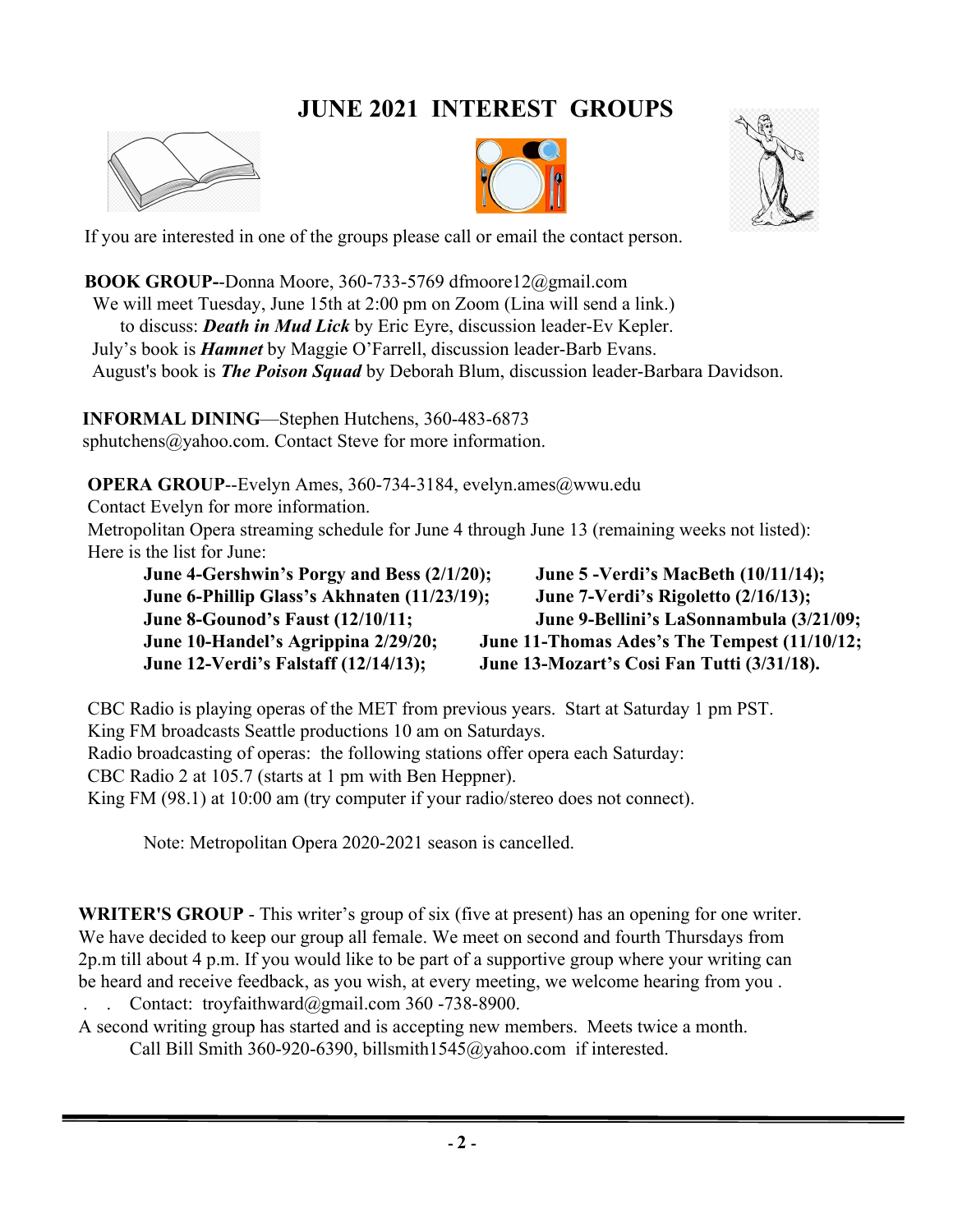# **JUNE 2021 INTEREST GROUPS**







If you are interested in one of the groups please call or email the contact person.

**BOOK GROUP-**-Donna Moore, 360-733-5769 dfmoore12@gmail.com We will meet Tuesday, June 15th at 2:00 pm on Zoom (Lina will send a link.) to discuss: *Death in Mud Lick* by Eric Eyre, discussion leader-Ev Kepler. July's book is *Hamnet* by Maggie O'Farrell, discussion leader-Barb Evans. August's book is *The Poison Squad* by Deborah Blum, discussion leader-Barbara Davidson.

**INFORMAL DINING**—Stephen Hutchens, 360-483-6873 sphutchens@yahoo.com. Contact Steve for more information.

**OPERA GROUP--Evelyn Ames, 360-734-3184, evelyn.ames@wwu.edu** 

Contact Evelyn for more information.

Metropolitan Opera streaming schedule for June 4 through June 13 (remaining weeks not listed): Here is the list for June:

**June 4-Gershwin's Porgy and Bess (2/1/20); June 5 -Verdi's MacBeth (10/11/14); June 6-Phillip Glass's Akhnaten (11/23/19); June 7-Verdi's Rigoletto (2/16/13); June 8-Gounod's Faust (12/10/11; June 9-Bellini's LaSonnambula (3/21/09; June 10-Handel's Agrippina 2/29/20; June 11-Thomas Ades's The Tempest (11/10/12; June 12-Verdi's Falstaff (12/14/13); June 13-Mozart's Cosi Fan Tutti (3/31/18).** 

CBC Radio is playing operas of the MET from previous years. Start at Saturday 1 pm PST. King FM broadcasts Seattle productions 10 am on Saturdays. Radio broadcasting of operas: the following stations offer opera each Saturday: CBC Radio 2 at 105.7 (starts at 1 pm with Ben Heppner). King FM (98.1) at 10:00 am (try computer if your radio/stereo does not connect).

Note: Metropolitan Opera 2020-2021 season is cancelled.

**WRITER'S GROUP** - This writer's group of six (five at present) has an opening for one writer. We have decided to keep our group all female. We meet on second and fourth Thursdays from 2p.m till about 4 p.m. If you would like to be part of a supportive group where your writing can be heard and receive feedback, as you wish, at every meeting, we welcome hearing from you .

. . Contact: troyfaithward@gmail.com 360 -738-8900.

A second writing group has started and is accepting new members. Meets twice a month. Call Bill Smith 360-920-6390, billsmith1545@yahoo.com if interested.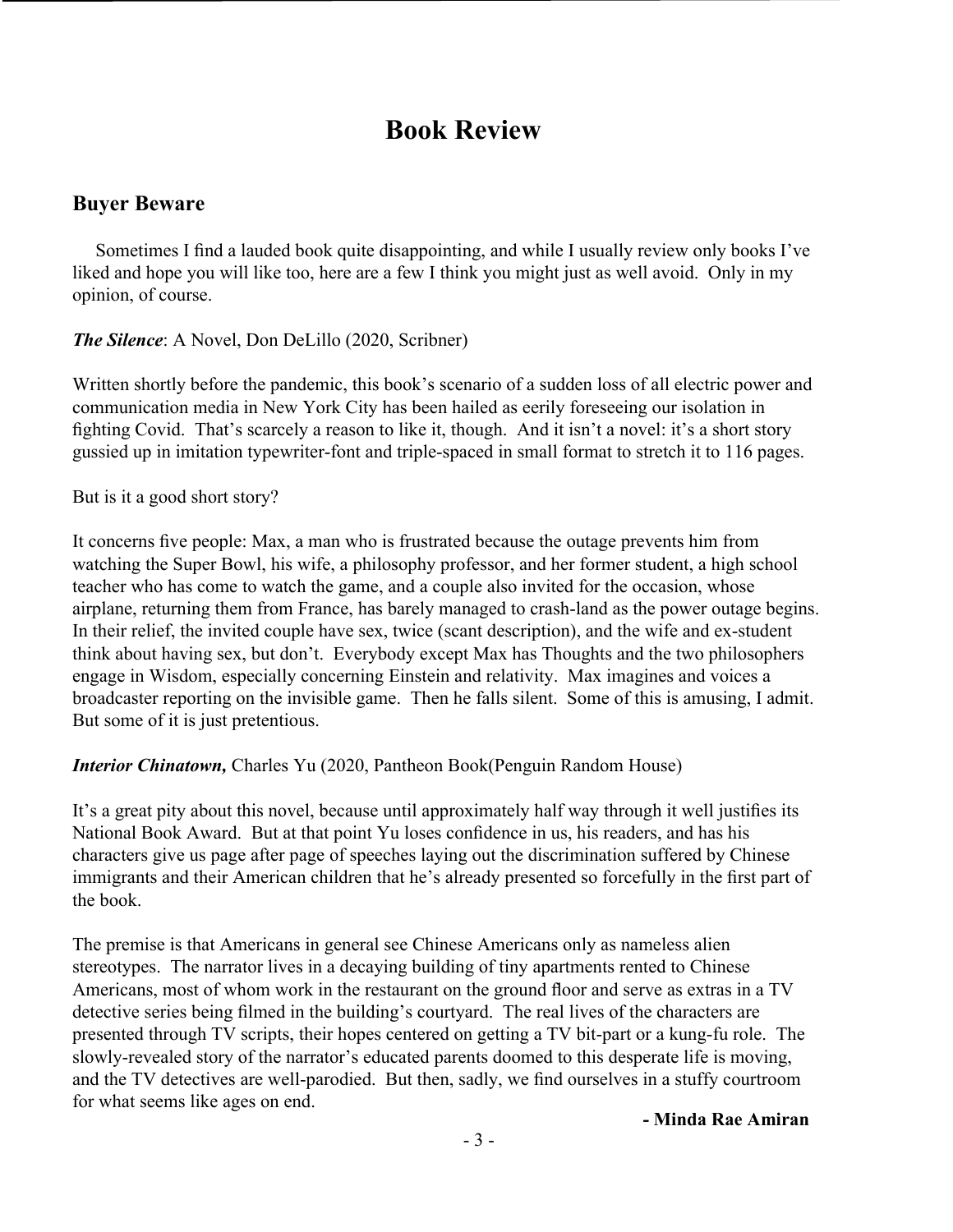# **Book Review**

### **Buyer Beware**

 Sometimes I find a lauded book quite disappointing, and while I usually review only books I've liked and hope you will like too, here are a few I think you might just as well avoid. Only in my opinion, of course.

#### *The Silence*: A Novel, Don DeLillo (2020, Scribner)

Written shortly before the pandemic, this book's scenario of a sudden loss of all electric power and communication media in New York City has been hailed as eerily foreseeing our isolation in fighting Covid. That's scarcely a reason to like it, though. And it isn't a novel: it's a short story gussied up in imitation typewriter-font and triple-spaced in small format to stretch it to 116 pages.

But is it a good short story?

It concerns five people: Max, a man who is frustrated because the outage prevents him from watching the Super Bowl, his wife, a philosophy professor, and her former student, a high school teacher who has come to watch the game, and a couple also invited for the occasion, whose airplane, returning them from France, has barely managed to crash-land as the power outage begins. In their relief, the invited couple have sex, twice (scant description), and the wife and ex-student think about having sex, but don't. Everybody except Max has Thoughts and the two philosophers engage in Wisdom, especially concerning Einstein and relativity. Max imagines and voices a broadcaster reporting on the invisible game. Then he falls silent. Some of this is amusing, I admit. But some of it is just pretentious.

#### *Interior Chinatown,* Charles Yu (2020, Pantheon Book(Penguin Random House)

It's a great pity about this novel, because until approximately half way through it well justifies its National Book Award. But at that point Yu loses confidence in us, his readers, and has his characters give us page after page of speeches laying out the discrimination suffered by Chinese immigrants and their American children that he's already presented so forcefully in the first part of the book.

The premise is that Americans in general see Chinese Americans only as nameless alien stereotypes. The narrator lives in a decaying building of tiny apartments rented to Chinese Americans, most of whom work in the restaurant on the ground floor and serve as extras in a TV detective series being filmed in the building's courtyard. The real lives of the characters are presented through TV scripts, their hopes centered on getting a TV bit-part or a kung-fu role. The slowly-revealed story of the narrator's educated parents doomed to this desperate life is moving, and the TV detectives are well-parodied. But then, sadly, we find ourselves in a stuffy courtroom for what seems like ages on end.

#### **- Minda Rae Amiran**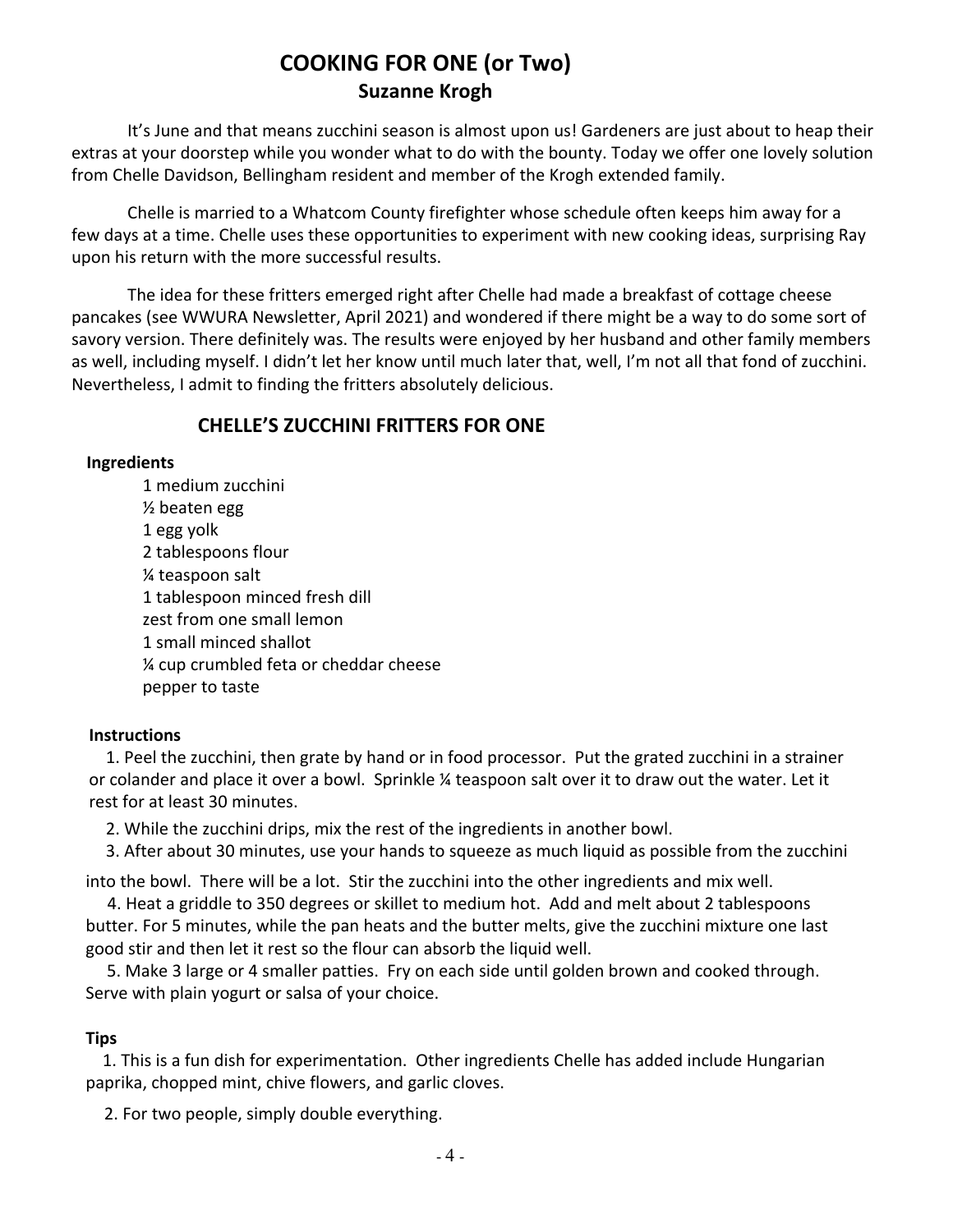## **COOKING FOR ONE (or Two) Suzanne Krogh**

It's June and that means zucchini season is almost upon us! Gardeners are just about to heap their extras at your doorstep while you wonder what to do with the bounty. Today we offer one lovely solution from Chelle Davidson, Bellingham resident and member of the Krogh extended family.

Chelle is married to a Whatcom County firefighter whose schedule often keeps him away for a few days at a time. Chelle uses these opportunities to experiment with new cooking ideas, surprising Ray upon his return with the more successful results.

The idea for these fritters emerged right after Chelle had made a breakfast of cottage cheese pancakes (see WWURA Newsletter, April 2021) and wondered if there might be a way to do some sort of savory version. There definitely was. The results were enjoyed by her husband and other family members as well, including myself. I didn't let her know until much later that, well, I'm not all that fond of zucchini. Nevertheless, I admit to finding the fritters absolutely delicious.

### **CHELLE'S ZUCCHINI FRITTERS FOR ONE**

#### **Ingredients**

1 medium zucchini ½ beaten egg 1 egg yolk 2 tablespoons flour ¼ teaspoon salt 1 tablespoon minced fresh dill zest from one small lemon 1 small minced shallot ¼ cup crumbled feta or cheddar cheese pepper to taste

#### **Instructions**

1. Peel the zucchini, then grate by hand or in food processor. Put the grated zucchini in a strainer or colander and place it over a bowl. Sprinkle ¼ teaspoon salt over it to draw out the water. Let it rest for at least 30 minutes.

2. While the zucchini drips, mix the rest of the ingredients in another bowl.

3. After about 30 minutes, use your hands to squeeze as much liquid as possible from the zucchini

into the bowl. There will be a lot. Stir the zucchini into the other ingredients and mix well.

4. Heat a griddle to 350 degrees or skillet to medium hot. Add and melt about 2 tablespoons butter. For 5 minutes, while the pan heats and the butter melts, give the zucchini mixture one last good stir and then let it rest so the flour can absorb the liquid well.

5. Make 3 large or 4 smaller patties. Fry on each side until golden brown and cooked through. Serve with plain yogurt or salsa of your choice.

#### **Tips**

1. This is a fun dish for experimentation. Other ingredients Chelle has added include Hungarian paprika, chopped mint, chive flowers, and garlic cloves.

2. For two people, simply double everything.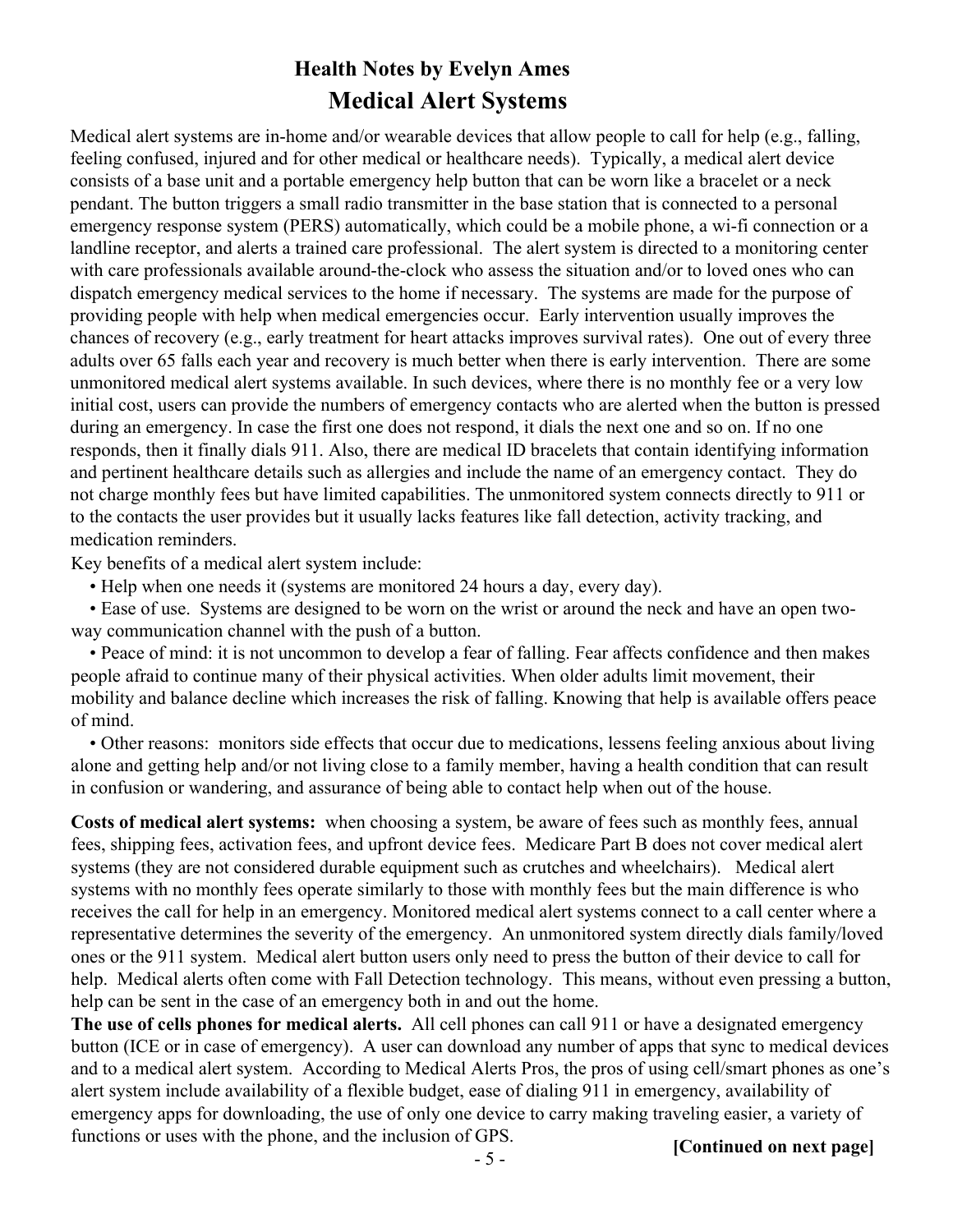## **Health Notes by Evelyn Ames Medical Alert Systems**

Medical alert systems are in-home and/or wearable devices that allow people to call for help (e.g., falling, feeling confused, injured and for other medical or healthcare needs). Typically, a medical alert device consists of a base unit and a portable emergency help button that can be worn like a bracelet or a neck pendant. The button triggers a small radio transmitter in the base station that is connected to a personal emergency response system (PERS) automatically, which could be a mobile phone, a wi-fi connection or a landline receptor, and alerts a trained care professional. The alert system is directed to a monitoring center with care professionals available around-the-clock who assess the situation and/or to loved ones who can dispatch emergency medical services to the home if necessary. The systems are made for the purpose of providing people with help when medical emergencies occur. Early intervention usually improves the chances of recovery (e.g., early treatment for heart attacks improves survival rates). One out of every three adults over 65 falls each year and recovery is much better when there is early intervention. There are some unmonitored medical alert systems available. In such devices, where there is no monthly fee or a very low initial cost, users can provide the numbers of emergency contacts who are alerted when the button is pressed during an emergency. In case the first one does not respond, it dials the next one and so on. If no one responds, then it finally dials 911. Also, there are medical ID bracelets that contain identifying information and pertinent healthcare details such as allergies and include the name of an emergency contact. They do not charge monthly fees but have limited capabilities. The unmonitored system connects directly to 911 or to the contacts the user provides but it usually lacks features like fall detection, activity tracking, and medication reminders.

Key benefits of a medical alert system include:

• Help when one needs it (systems are monitored 24 hours a day, every day).

• Ease of use. Systems are designed to be worn on the wrist or around the neck and have an open twoway communication channel with the push of a button.

• Peace of mind: it is not uncommon to develop a fear of falling. Fear affects confidence and then makes people afraid to continue many of their physical activities. When older adults limit movement, their mobility and balance decline which increases the risk of falling. Knowing that help is available offers peace of mind.

• Other reasons: monitors side effects that occur due to medications, lessens feeling anxious about living alone and getting help and/or not living close to a family member, having a health condition that can result in confusion or wandering, and assurance of being able to contact help when out of the house.

**Costs of medical alert systems:** when choosing a system, be aware of fees such as monthly fees, annual fees, shipping fees, activation fees, and upfront device fees. Medicare Part B does not cover medical alert systems (they are not considered durable equipment such as crutches and wheelchairs). Medical alert systems with no monthly fees operate similarly to those with monthly fees but the main difference is who receives the call for help in an emergency. Monitored medical alert systems connect to a call center where a representative determines the severity of the emergency. An unmonitored system directly dials family/loved ones or the 911 system. Medical alert button users only need to press the button of their device to call for help. Medical alerts often come with Fall Detection technology. This means, without even pressing a button, help can be sent in the case of an emergency both in and out the home.

**The use of cells phones for medical alerts.** All cell phones can call 911 or have a designated emergency button (ICE or in case of emergency). A user can download any number of apps that sync to medical devices and to a medical alert system. According to Medical Alerts Pros, the pros of using cell/smart phones as one's alert system include availability of a flexible budget, ease of dialing 911 in emergency, availability of emergency apps for downloading, the use of only one device to carry making traveling easier, a variety of functions or uses with the phone, and the inclusion of GPS.

**[Continued on next page]**